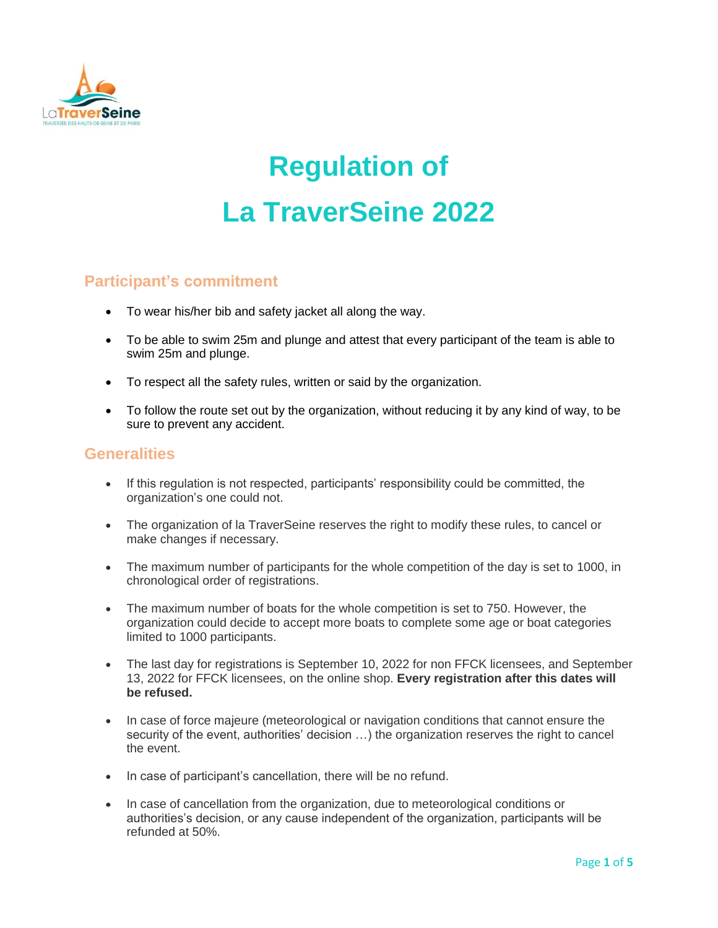

# **Regulation of La TraverSeine 2022**

## **Participant's commitment**

- To wear his/her bib and safety jacket all along the way.
- To be able to swim 25m and plunge and attest that every participant of the team is able to swim 25m and plunge.
- To respect all the safety rules, written or said by the organization.
- To follow the route set out by the organization, without reducing it by any kind of way, to be sure to prevent any accident.

#### **Generalities**

- If this regulation is not respected, participants' responsibility could be committed, the organization's one could not.
- The organization of la TraverSeine reserves the right to modify these rules, to cancel or make changes if necessary.
- The maximum number of participants for the whole competition of the day is set to 1000, in chronological order of registrations.
- The maximum number of boats for the whole competition is set to 750. However, the organization could decide to accept more boats to complete some age or boat categories limited to 1000 participants.
- The last day for registrations is September 10, 2022 for non FFCK licensees, and September 13, 2022 for FFCK licensees, on the online shop. **Every registration after this dates will be refused.**
- In case of force majeure (meteorological or navigation conditions that cannot ensure the security of the event, authorities' decision …) the organization reserves the right to cancel the event.
- In case of participant's cancellation, there will be no refund.
- In case of cancellation from the organization, due to meteorological conditions or authorities's decision, or any cause independent of the organization, participants will be refunded at 50%.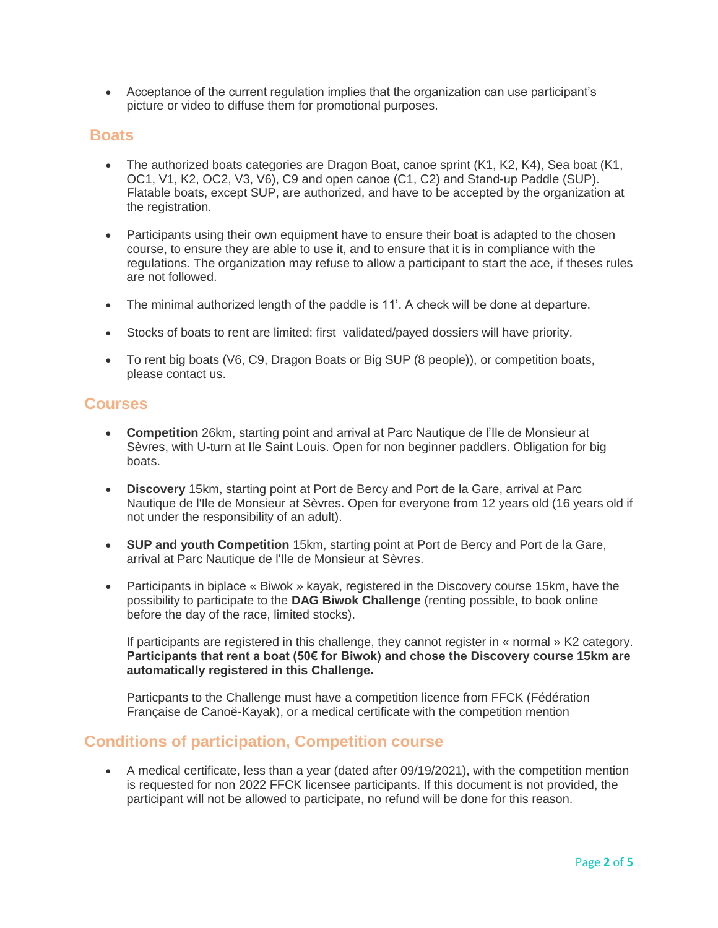Acceptance of the current regulation implies that the organization can use participant's picture or video to diffuse them for promotional purposes.

## **Boats**

- The authorized boats categories are Dragon Boat, canoe sprint (K1, K2, K4), Sea boat (K1, OC1, V1, K2, OC2, V3, V6), C9 and open canoe (C1, C2) and Stand-up Paddle (SUP). Flatable boats, except SUP, are authorized, and have to be accepted by the organization at the registration.
- Participants using their own equipment have to ensure their boat is adapted to the chosen course, to ensure they are able to use it, and to ensure that it is in compliance with the regulations. The organization may refuse to allow a participant to start the ace, if theses rules are not followed.
- The minimal authorized length of the paddle is 11'. A check will be done at departure.
- Stocks of boats to rent are limited: first validated/payed dossiers will have priority.
- To rent big boats (V6, C9, Dragon Boats or Big SUP (8 people)), or competition boats, please contact us.

#### **Courses**

- **Competition** 26km, starting point and arrival at Parc Nautique de l'Ile de Monsieur at Sèvres, with U-turn at Ile Saint Louis. Open for non beginner paddlers. Obligation for big boats.
- **Discovery** 15km, starting point at Port de Bercy and Port de la Gare, arrival at Parc Nautique de l'Ile de Monsieur at Sèvres. Open for everyone from 12 years old (16 years old if not under the responsibility of an adult).
- **SUP and youth Competition** 15km, starting point at Port de Bercy and Port de la Gare, arrival at Parc Nautique de l'Ile de Monsieur at Sèvres.
- Participants in biplace « Biwok » kayak, registered in the Discovery course 15km, have the possibility to participate to the **DAG Biwok Challenge** (renting possible, to book online before the day of the race, limited stocks).

If participants are registered in this challenge, they cannot register in « normal » K2 category. **Participants that rent a boat (50€ for Biwok) and chose the Discovery course 15km are automatically registered in this Challenge.**

Particpants to the Challenge must have a competition licence from FFCK (Fédération Française de Canoë-Kayak), or a medical certificate with the competition mention

#### **Conditions of participation, Competition course**

 A medical certificate, less than a year (dated after 09/19/2021), with the competition mention is requested for non 2022 FFCK licensee participants. If this document is not provided, the participant will not be allowed to participate, no refund will be done for this reason.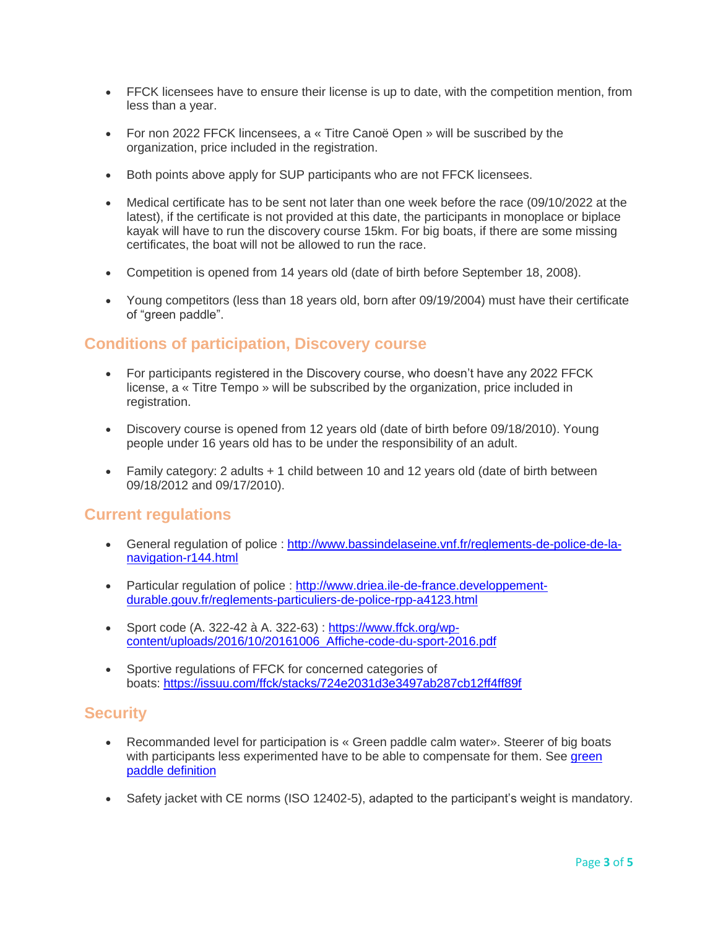- FFCK licensees have to ensure their license is up to date, with the competition mention, from less than a year.
- For non 2022 FFCK lincensees, a « Titre Canoë Open » will be suscribed by the organization, price included in the registration.
- Both points above apply for SUP participants who are not FFCK licensees.
- Medical certificate has to be sent not later than one week before the race (09/10/2022 at the latest), if the certificate is not provided at this date, the participants in monoplace or biplace kayak will have to run the discovery course 15km. For big boats, if there are some missing certificates, the boat will not be allowed to run the race.
- Competition is opened from 14 years old (date of birth before September 18, 2008).
- Young competitors (less than 18 years old, born after 09/19/2004) must have their certificate of "green paddle".

## **Conditions of participation, Discovery course**

- For participants registered in the Discovery course, who doesn't have any 2022 FFCK license, a « Titre Tempo » will be subscribed by the organization, price included in registration.
- Discovery course is opened from 12 years old (date of birth before 09/18/2010). Young people under 16 years old has to be under the responsibility of an adult.
- Family category: 2 adults + 1 child between 10 and 12 years old (date of birth between 09/18/2012 and 09/17/2010).

## **Current regulations**

- General regulation of police : [http://www.bassindelaseine.vnf.fr/reglements-de-police-de-la](http://www.bassindelaseine.vnf.fr/reglements-de-police-de-la-navigation-r144.html)[navigation-r144.html](http://www.bassindelaseine.vnf.fr/reglements-de-police-de-la-navigation-r144.html)
- Particular regulation of police : [http://www.driea.ile-de-france.developpement](http://www.driea.ile-de-france.developpement-durable.gouv.fr/reglements-particuliers-de-police-rpp-a4123.html)[durable.gouv.fr/reglements-particuliers-de-police-rpp-a4123.html](http://www.driea.ile-de-france.developpement-durable.gouv.fr/reglements-particuliers-de-police-rpp-a4123.html)
- Sport code  $(A. 322-42 \text{ à } A. 322-63)$ : [https://www.ffck.org/wp](https://www.ffck.org/wp-content/uploads/2016/10/20161006_Affiche-code-du-sport-2016.pdf)[content/uploads/2016/10/20161006\\_Affiche-code-du-sport-2016.pdf](https://www.ffck.org/wp-content/uploads/2016/10/20161006_Affiche-code-du-sport-2016.pdf)
- Sportive regulations of FFCK for concerned categories of boats: <https://issuu.com/ffck/stacks/724e2031d3e3497ab287cb12ff4ff89f>

## **Security**

- Recommanded level for participation is « Green paddle calm water». Steerer of big boats with participants less experimented have to be able to compensate for them. See green [paddle definition](http://www.ffck.org/federation/formation/pagaies-couleurs/#1455050507247-4f494e5b-3cd2)
- Safety jacket with CE norms (ISO 12402-5), adapted to the participant's weight is mandatory.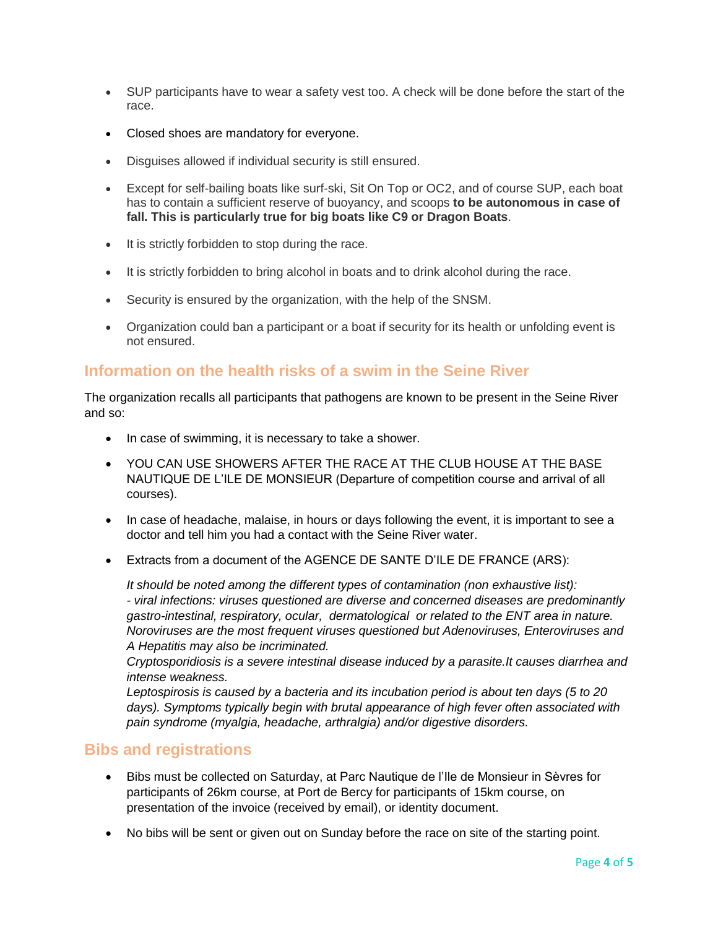- SUP participants have to wear a safety vest too. A check will be done before the start of the race.
- Closed shoes are mandatory for everyone.
- Disguises allowed if individual security is still ensured.
- Except for self-bailing boats like surf-ski, Sit On Top or OC2, and of course SUP, each boat has to contain a sufficient reserve of buoyancy, and scoops **to be autonomous in case of fall. This is particularly true for big boats like C9 or Dragon Boats**.
- It is strictly forbidden to stop during the race.
- It is strictly forbidden to bring alcohol in boats and to drink alcohol during the race.
- Security is ensured by the organization, with the help of the SNSM.
- Organization could ban a participant or a boat if security for its health or unfolding event is not ensured.

## **Information on the health risks of a swim in the Seine River**

The organization recalls all participants that pathogens are known to be present in the Seine River and so:

- In case of swimming, it is necessary to take a shower.
- YOU CAN USE SHOWERS AFTER THE RACE AT THE CLUB HOUSE AT THE BASE NAUTIQUE DE L'ILE DE MONSIEUR (Departure of competition course and arrival of all courses).
- In case of headache, malaise, in hours or days following the event, it is important to see a doctor and tell him you had a contact with the Seine River water.
- Extracts from a document of the AGENCE DE SANTE D'ILE DE FRANCE (ARS):

*It should be noted among the different types of contamination (non exhaustive list): - viral infections: viruses questioned are diverse and concerned diseases are predominantly gastro-intestinal, respiratory, ocular, dermatological or related to the ENT area in nature. Noroviruses are the most frequent viruses questioned but Adenoviruses, Enteroviruses and A Hepatitis may also be incriminated.*

*Cryptosporidiosis is a severe intestinal disease induced by a parasite.It causes diarrhea and intense weakness.*

*Leptospirosis is caused by a bacteria and its incubation period is about ten days (5 to 20 days). Symptoms typically begin with brutal appearance of high fever often associated with pain syndrome (myalgia, headache, arthralgia) and/or digestive disorders.*

#### **Bibs and registrations**

- Bibs must be collected on Saturday, at Parc Nautique de l'Ile de Monsieur in Sèvres for participants of 26km course, at Port de Bercy for participants of 15km course, on presentation of the invoice (received by email), or identity document.
- No bibs will be sent or given out on Sunday before the race on site of the starting point.